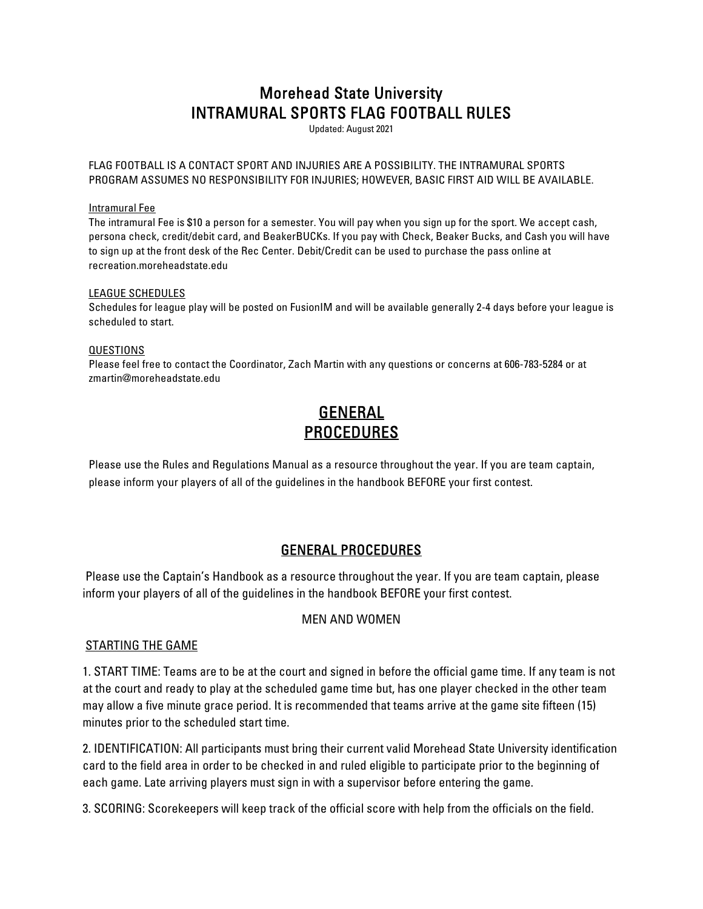# Morehead State University INTRAMURAL SPORTS FLAG FOOTBALL RULES

Updated: August 2021

FLAG FOOTBALL IS A CONTACT SPORT AND INJURIES ARE A POSSIBILITY. THE INTRAMURAL SPORTS PROGRAM ASSUMES NO RESPONSIBILITY FOR INJURIES; HOWEVER, BASIC FIRST AID WILL BE AVAILABLE.

### Intramural Fee

The intramural Fee is \$10 a person for a semester. You will pay when you sign up for the sport. We accept cash, persona check, credit/debit card, and BeakerBUCKs. If you pay with Check, Beaker Bucks, and Cash you will have to sign up at the front desk of the Rec Center. Debit/Credit can be used to purchase the pass online at recreation.moreheadstate.edu

### LEAGUE SCHEDULES

Schedules for league play will be posted on FusionIM and will be available generally 2-4 days before your league is scheduled to start.

#### QUESTIONS

Please feel free to contact the Coordinator, Zach Martin with any questions or concerns at 606-783-5284 or at zmartin@moreheadstate.edu

# GENERAL **PROCEDURES**

Please use the Rules and Regulations Manual as a resource throughout the year. If you are team captain, please inform your players of all of the guidelines in the handbook BEFORE your first contest.

## GENERAL PROCEDURES

 Please use the Captain's Handbook as a resource throughout the year. If you are team captain, please inform your players of all of the guidelines in the handbook BEFORE your first contest.

## MEN AND WOMEN

## STARTING THE GAME

1. START TIME: Teams are to be at the court and signed in before the official game time. If any team is not at the court and ready to play at the scheduled game time but, has one player checked in the other team may allow a five minute grace period. It is recommended that teams arrive at the game site fifteen (15) minutes prior to the scheduled start time.

2. IDENTIFICATION: All participants must bring their current valid Morehead State University identification card to the field area in order to be checked in and ruled eligible to participate prior to the beginning of each game. Late arriving players must sign in with a supervisor before entering the game.

3. SCORING: Scorekeepers will keep track of the official score with help from the officials on the field.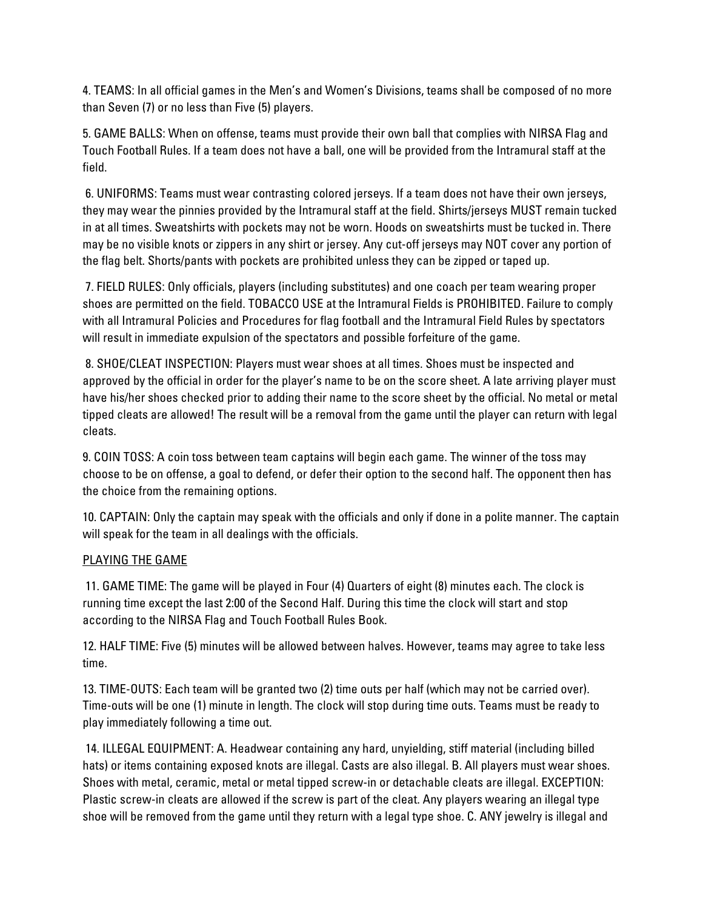4. TEAMS: In all official games in the Men's and Women's Divisions, teams shall be composed of no more than Seven (7) or no less than Five (5) players.

5. GAME BALLS: When on offense, teams must provide their own ball that complies with NIRSA Flag and Touch Football Rules. If a team does not have a ball, one will be provided from the Intramural staff at the field.

 6. UNIFORMS: Teams must wear contrasting colored jerseys. If a team does not have their own jerseys, they may wear the pinnies provided by the Intramural staff at the field. Shirts/jerseys MUST remain tucked in at all times. Sweatshirts with pockets may not be worn. Hoods on sweatshirts must be tucked in. There may be no visible knots or zippers in any shirt or jersey. Any cut-off jerseys may NOT cover any portion of the flag belt. Shorts/pants with pockets are prohibited unless they can be zipped or taped up.

 7. FIELD RULES: Only officials, players (including substitutes) and one coach per team wearing proper shoes are permitted on the field. TOBACCO USE at the Intramural Fields is PROHIBITED. Failure to comply with all Intramural Policies and Procedures for flag football and the Intramural Field Rules by spectators will result in immediate expulsion of the spectators and possible forfeiture of the game.

 8. SHOE/CLEAT INSPECTION: Players must wear shoes at all times. Shoes must be inspected and approved by the official in order for the player's name to be on the score sheet. A late arriving player must have his/her shoes checked prior to adding their name to the score sheet by the official. No metal or metal tipped cleats are allowed! The result will be a removal from the game until the player can return with legal cleats.

9. COIN TOSS: A coin toss between team captains will begin each game. The winner of the toss may choose to be on offense, a goal to defend, or defer their option to the second half. The opponent then has the choice from the remaining options.

10. CAPTAIN: Only the captain may speak with the officials and only if done in a polite manner. The captain will speak for the team in all dealings with the officials.

## PLAYING THE GAME

 11. GAME TIME: The game will be played in Four (4) Quarters of eight (8) minutes each. The clock is running time except the last 2:00 of the Second Half. During this time the clock will start and stop according to the NIRSA Flag and Touch Football Rules Book.

12. HALF TIME: Five (5) minutes will be allowed between halves. However, teams may agree to take less time.

13. TIME-OUTS: Each team will be granted two (2) time outs per half (which may not be carried over). Time-outs will be one (1) minute in length. The clock will stop during time outs. Teams must be ready to play immediately following a time out.

 14. ILLEGAL EQUIPMENT: A. Headwear containing any hard, unyielding, stiff material (including billed hats) or items containing exposed knots are illegal. Casts are also illegal. B. All players must wear shoes. Shoes with metal, ceramic, metal or metal tipped screw-in or detachable cleats are illegal. EXCEPTION: Plastic screw-in cleats are allowed if the screw is part of the cleat. Any players wearing an illegal type shoe will be removed from the game until they return with a legal type shoe. C. ANY jewelry is illegal and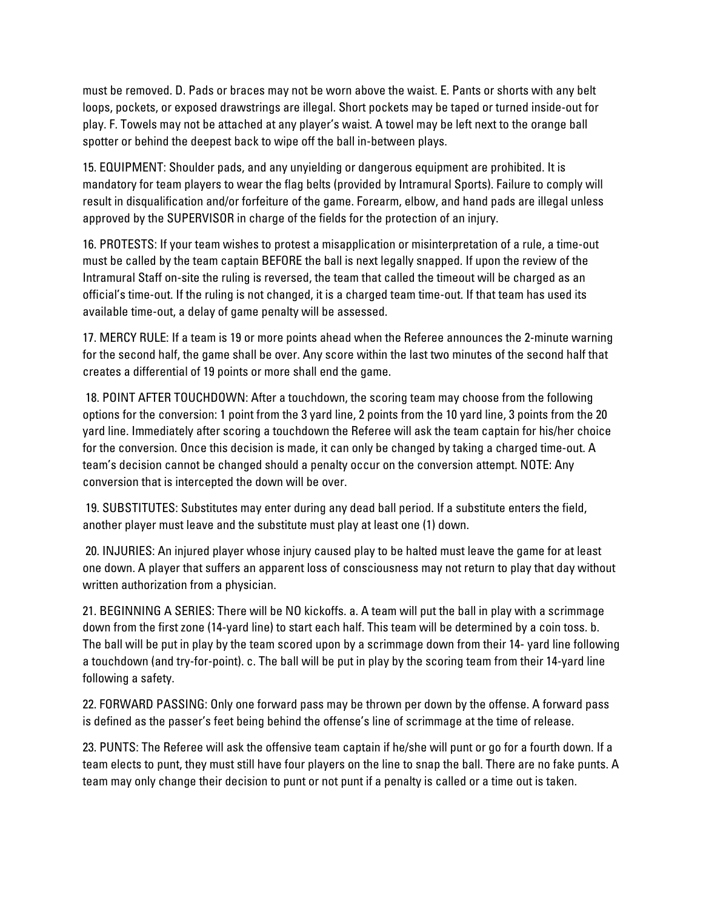must be removed. D. Pads or braces may not be worn above the waist. E. Pants or shorts with any belt loops, pockets, or exposed drawstrings are illegal. Short pockets may be taped or turned inside-out for play. F. Towels may not be attached at any player's waist. A towel may be left next to the orange ball spotter or behind the deepest back to wipe off the ball in-between plays.

15. EQUIPMENT: Shoulder pads, and any unyielding or dangerous equipment are prohibited. It is mandatory for team players to wear the flag belts (provided by Intramural Sports). Failure to comply will result in disqualification and/or forfeiture of the game. Forearm, elbow, and hand pads are illegal unless approved by the SUPERVISOR in charge of the fields for the protection of an injury.

16. PROTESTS: If your team wishes to protest a misapplication or misinterpretation of a rule, a time-out must be called by the team captain BEFORE the ball is next legally snapped. If upon the review of the Intramural Staff on-site the ruling is reversed, the team that called the timeout will be charged as an official's time-out. If the ruling is not changed, it is a charged team time-out. If that team has used its available time-out, a delay of game penalty will be assessed.

17. MERCY RULE: If a team is 19 or more points ahead when the Referee announces the 2-minute warning for the second half, the game shall be over. Any score within the last two minutes of the second half that creates a differential of 19 points or more shall end the game.

 18. POINT AFTER TOUCHDOWN: After a touchdown, the scoring team may choose from the following options for the conversion: 1 point from the 3 yard line, 2 points from the 10 yard line, 3 points from the 20 yard line. Immediately after scoring a touchdown the Referee will ask the team captain for his/her choice for the conversion. Once this decision is made, it can only be changed by taking a charged time-out. A team's decision cannot be changed should a penalty occur on the conversion attempt. NOTE: Any conversion that is intercepted the down will be over.

 19. SUBSTITUTES: Substitutes may enter during any dead ball period. If a substitute enters the field, another player must leave and the substitute must play at least one (1) down.

 20. INJURIES: An injured player whose injury caused play to be halted must leave the game for at least one down. A player that suffers an apparent loss of consciousness may not return to play that day without written authorization from a physician.

21. BEGINNING A SERIES: There will be NO kickoffs. a. A team will put the ball in play with a scrimmage down from the first zone (14-yard line) to start each half. This team will be determined by a coin toss. b. The ball will be put in play by the team scored upon by a scrimmage down from their 14- yard line following a touchdown (and try-for-point). c. The ball will be put in play by the scoring team from their 14-yard line following a safety.

22. FORWARD PASSING: Only one forward pass may be thrown per down by the offense. A forward pass is defined as the passer's feet being behind the offense's line of scrimmage at the time of release.

23. PUNTS: The Referee will ask the offensive team captain if he/she will punt or go for a fourth down. If a team elects to punt, they must still have four players on the line to snap the ball. There are no fake punts. A team may only change their decision to punt or not punt if a penalty is called or a time out is taken.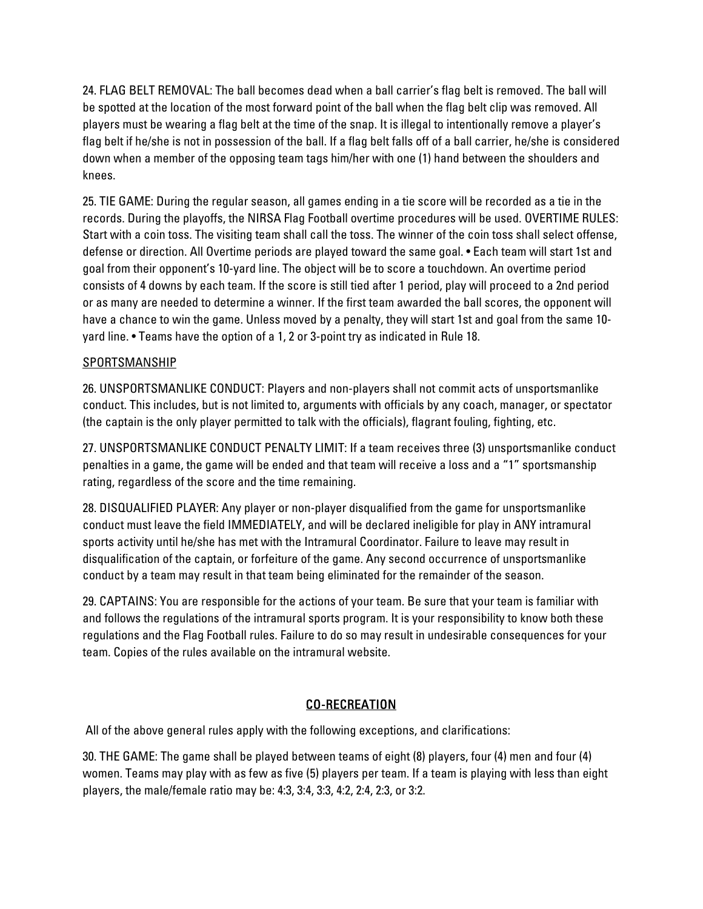24. FLAG BELT REMOVAL: The ball becomes dead when a ball carrier's flag belt is removed. The ball will be spotted at the location of the most forward point of the ball when the flag belt clip was removed. All players must be wearing a flag belt at the time of the snap. It is illegal to intentionally remove a player's flag belt if he/she is not in possession of the ball. If a flag belt falls off of a ball carrier, he/she is considered down when a member of the opposing team tags him/her with one (1) hand between the shoulders and knees.

25. TIE GAME: During the regular season, all games ending in a tie score will be recorded as a tie in the records. During the playoffs, the NIRSA Flag Football overtime procedures will be used. OVERTIME RULES: Start with a coin toss. The visiting team shall call the toss. The winner of the coin toss shall select offense, defense or direction. All Overtime periods are played toward the same goal. • Each team will start 1st and goal from their opponent's 10-yard line. The object will be to score a touchdown. An overtime period consists of 4 downs by each team. If the score is still tied after 1 period, play will proceed to a 2nd period or as many are needed to determine a winner. If the first team awarded the ball scores, the opponent will have a chance to win the game. Unless moved by a penalty, they will start 1st and goal from the same 10 yard line. • Teams have the option of a 1, 2 or 3-point try as indicated in Rule 18.

## SPORTSMANSHIP

26. UNSPORTSMANLIKE CONDUCT: Players and non-players shall not commit acts of unsportsmanlike conduct. This includes, but is not limited to, arguments with officials by any coach, manager, or spectator (the captain is the only player permitted to talk with the officials), flagrant fouling, fighting, etc.

27. UNSPORTSMANLIKE CONDUCT PENALTY LIMIT: If a team receives three (3) unsportsmanlike conduct penalties in a game, the game will be ended and that team will receive a loss and a "1" sportsmanship rating, regardless of the score and the time remaining.

28. DISQUALIFIED PLAYER: Any player or non-player disqualified from the game for unsportsmanlike conduct must leave the field IMMEDIATELY, and will be declared ineligible for play in ANY intramural sports activity until he/she has met with the Intramural Coordinator. Failure to leave may result in disqualification of the captain, or forfeiture of the game. Any second occurrence of unsportsmanlike conduct by a team may result in that team being eliminated for the remainder of the season.

29. CAPTAINS: You are responsible for the actions of your team. Be sure that your team is familiar with and follows the regulations of the intramural sports program. It is your responsibility to know both these regulations and the Flag Football rules. Failure to do so may result in undesirable consequences for your team. Copies of the rules available on the intramural website.

# CO-RECREATION

All of the above general rules apply with the following exceptions, and clarifications:

30. THE GAME: The game shall be played between teams of eight (8) players, four (4) men and four (4) women. Teams may play with as few as five (5) players per team. If a team is playing with less than eight players, the male/female ratio may be: 4:3, 3:4, 3:3, 4:2, 2:4, 2:3, or 3:2.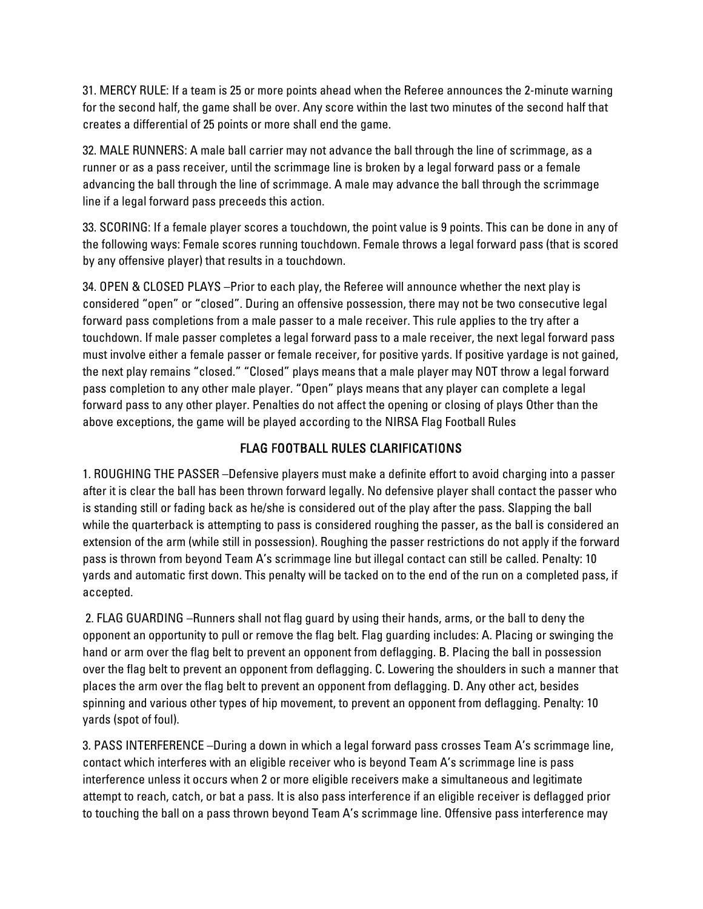31. MERCY RULE: If a team is 25 or more points ahead when the Referee announces the 2-minute warning for the second half, the game shall be over. Any score within the last two minutes of the second half that creates a differential of 25 points or more shall end the game.

32. MALE RUNNERS: A male ball carrier may not advance the ball through the line of scrimmage, as a runner or as a pass receiver, until the scrimmage line is broken by a legal forward pass or a female advancing the ball through the line of scrimmage. A male may advance the ball through the scrimmage line if a legal forward pass preceeds this action.

33. SCORING: If a female player scores a touchdown, the point value is 9 points. This can be done in any of the following ways: Female scores running touchdown. Female throws a legal forward pass (that is scored by any offensive player) that results in a touchdown.

34. OPEN & CLOSED PLAYS –Prior to each play, the Referee will announce whether the next play is considered "open" or "closed". During an offensive possession, there may not be two consecutive legal forward pass completions from a male passer to a male receiver. This rule applies to the try after a touchdown. If male passer completes a legal forward pass to a male receiver, the next legal forward pass must involve either a female passer or female receiver, for positive yards. If positive yardage is not gained, the next play remains "closed." "Closed" plays means that a male player may NOT throw a legal forward pass completion to any other male player. "Open" plays means that any player can complete a legal forward pass to any other player. Penalties do not affect the opening or closing of plays Other than the above exceptions, the game will be played according to the NIRSA Flag Football Rules

# FLAG FOOTBALL RULES CLARIFICATIONS

1. ROUGHING THE PASSER –Defensive players must make a definite effort to avoid charging into a passer after it is clear the ball has been thrown forward legally. No defensive player shall contact the passer who is standing still or fading back as he/she is considered out of the play after the pass. Slapping the ball while the quarterback is attempting to pass is considered roughing the passer, as the ball is considered an extension of the arm (while still in possession). Roughing the passer restrictions do not apply if the forward pass is thrown from beyond Team A's scrimmage line but illegal contact can still be called. Penalty: 10 yards and automatic first down. This penalty will be tacked on to the end of the run on a completed pass, if accepted.

 2. FLAG GUARDING –Runners shall not flag guard by using their hands, arms, or the ball to deny the opponent an opportunity to pull or remove the flag belt. Flag guarding includes: A. Placing or swinging the hand or arm over the flag belt to prevent an opponent from deflagging. B. Placing the ball in possession over the flag belt to prevent an opponent from deflagging. C. Lowering the shoulders in such a manner that places the arm over the flag belt to prevent an opponent from deflagging. D. Any other act, besides spinning and various other types of hip movement, to prevent an opponent from deflagging. Penalty: 10 yards (spot of foul).

3. PASS INTERFERENCE –During a down in which a legal forward pass crosses Team A's scrimmage line, contact which interferes with an eligible receiver who is beyond Team A's scrimmage line is pass interference unless it occurs when 2 or more eligible receivers make a simultaneous and legitimate attempt to reach, catch, or bat a pass. It is also pass interference if an eligible receiver is deflagged prior to touching the ball on a pass thrown beyond Team A's scrimmage line. Offensive pass interference may